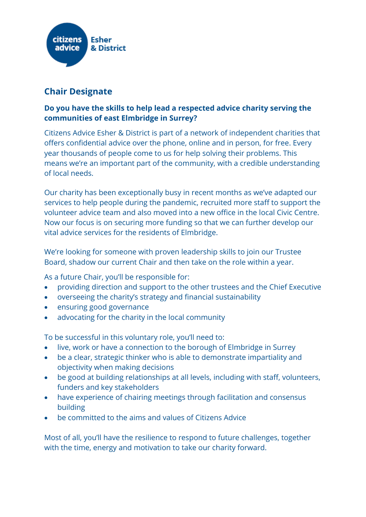

## **Chair Designate**

## **Do you have the skills to help lead a respected advice charity serving the communities of east Elmbridge in Surrey?**

Citizens Advice Esher & District is part of a network of independent charities that offers confidential advice over the phone, online and in person, for free. Every year thousands of people come to us for help solving their problems. This means we're an important part of the community, with a credible understanding of local needs.

Our charity has been exceptionally busy in recent months as we've adapted our services to help people during the pandemic, recruited more staff to support the volunteer advice team and also moved into a new office in the local Civic Centre. Now our focus is on securing more funding so that we can further develop our vital advice services for the residents of Elmbridge.

We're looking for someone with proven leadership skills to join our Trustee Board, shadow our current Chair and then take on the role within a year.

As a future Chair, you'll be responsible for:

- providing direction and support to the other trustees and the Chief Executive
- overseeing the charity's strategy and financial sustainability
- ensuring good governance
- advocating for the charity in the local community

To be successful in this voluntary role, you'll need to:

- live, work or have a connection to the borough of Elmbridge in Surrey
- be a clear, strategic thinker who is able to demonstrate impartiality and objectivity when making decisions
- be good at building relationships at all levels, including with staff, volunteers, funders and key stakeholders
- have experience of chairing meetings through facilitation and consensus building
- be committed to the aims and values of Citizens Advice

Most of all, you'll have the resilience to respond to future challenges, together with the time, energy and motivation to take our charity forward.